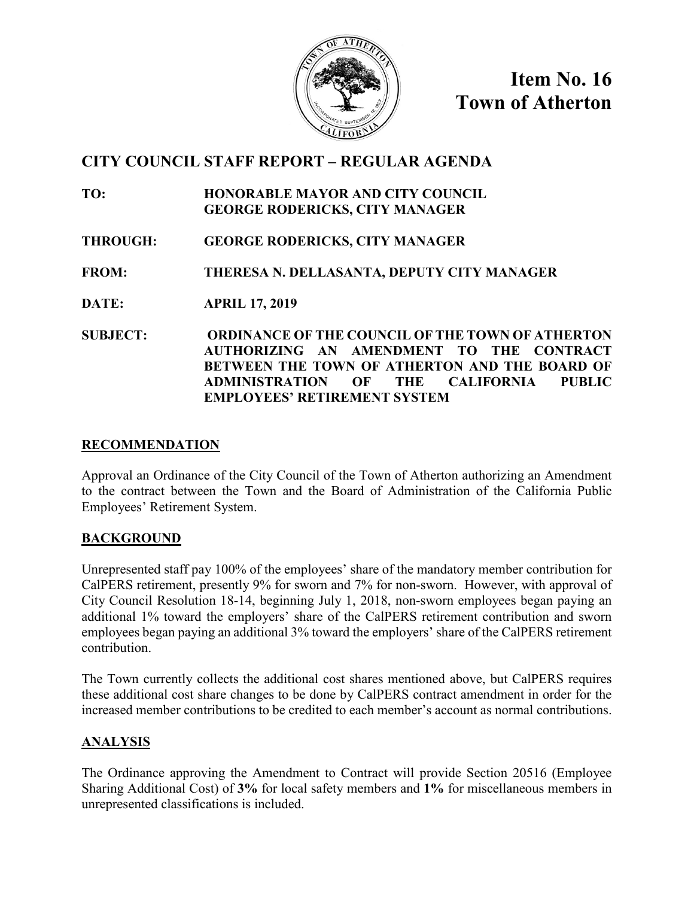

**Item No. 16 Town of Atherton**

### **CITY COUNCIL STAFF REPORT – REGULAR AGENDA**

- **TO: HONORABLE MAYOR AND CITY COUNCIL GEORGE RODERICKS, CITY MANAGER**
- **THROUGH: GEORGE RODERICKS, CITY MANAGER**
- **FROM: THERESA N. DELLASANTA, DEPUTY CITY MANAGER**
- **DATE: APRIL 17, 2019**
- **SUBJECT: ORDINANCE OF THE COUNCIL OF THE TOWN OF ATHERTON AUTHORIZING AN AMENDMENT TO THE CONTRACT BETWEEN THE TOWN OF ATHERTON AND THE BOARD OF ADMINISTRATION OF THE CALIFORNIA PUBLIC EMPLOYEES' RETIREMENT SYSTEM**

#### **RECOMMENDATION**

Approval an Ordinance of the City Council of the Town of Atherton authorizing an Amendment to the contract between the Town and the Board of Administration of the California Public Employees' Retirement System.

#### **BACKGROUND**

Unrepresented staff pay 100% of the employees' share of the mandatory member contribution for CalPERS retirement, presently 9% for sworn and 7% for non-sworn. However, with approval of City Council Resolution 18-14, beginning July 1, 2018, non-sworn employees began paying an additional 1% toward the employers' share of the CalPERS retirement contribution and sworn employees began paying an additional 3% toward the employers' share of the CalPERS retirement contribution.

The Town currently collects the additional cost shares mentioned above, but CalPERS requires these additional cost share changes to be done by CalPERS contract amendment in order for the increased member contributions to be credited to each member's account as normal contributions.

#### **ANALYSIS**

The Ordinance approving the Amendment to Contract will provide Section 20516 (Employee Sharing Additional Cost) of **3%** for local safety members and **1%** for miscellaneous members in unrepresented classifications is included.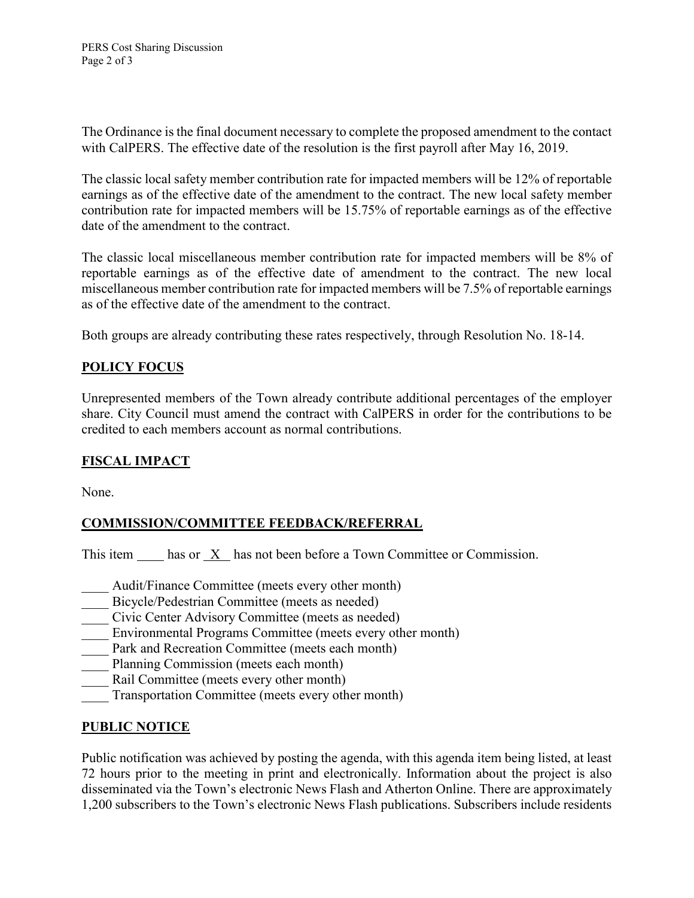The Ordinance is the final document necessary to complete the proposed amendment to the contact with CalPERS. The effective date of the resolution is the first payroll after May 16, 2019.

The classic local safety member contribution rate for impacted members will be 12% of reportable earnings as of the effective date of the amendment to the contract. The new local safety member contribution rate for impacted members will be 15.75% of reportable earnings as of the effective date of the amendment to the contract.

The classic local miscellaneous member contribution rate for impacted members will be 8% of reportable earnings as of the effective date of amendment to the contract. The new local miscellaneous member contribution rate for impacted members will be 7.5% of reportable earnings as of the effective date of the amendment to the contract.

Both groups are already contributing these rates respectively, through Resolution No. 18-14.

#### **POLICY FOCUS**

Unrepresented members of the Town already contribute additional percentages of the employer share. City Council must amend the contract with CalPERS in order for the contributions to be credited to each members account as normal contributions.

#### **FISCAL IMPACT**

None.

#### **COMMISSION/COMMITTEE FEEDBACK/REFERRAL**

This item has or X has not been before a Town Committee or Commission.

- Audit/Finance Committee (meets every other month)
- Bicycle/Pedestrian Committee (meets as needed)
- Civic Center Advisory Committee (meets as needed)
- Environmental Programs Committee (meets every other month)
- Park and Recreation Committee (meets each month)
- Planning Commission (meets each month)
- Rail Committee (meets every other month)
- Transportation Committee (meets every other month)

#### **PUBLIC NOTICE**

Public notification was achieved by posting the agenda, with this agenda item being listed, at least 72 hours prior to the meeting in print and electronically. Information about the project is also disseminated via the Town's electronic News Flash and Atherton Online. There are approximately 1,200 subscribers to the Town's electronic News Flash publications. Subscribers include residents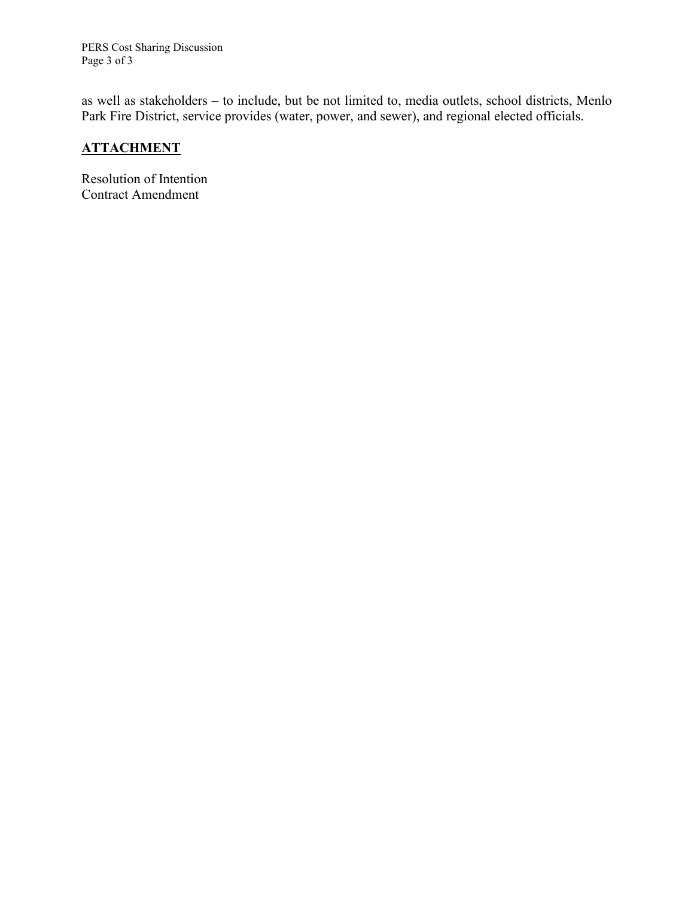PERS Cost Sharing Discussion Page 3 of 3

as well as stakeholders – to include, but be not limited to, media outlets, school districts, Menlo Park Fire District, service provides (water, power, and sewer), and regional elected officials.

#### **ATTACHMENT**

Resolution of Intention Contract Amendment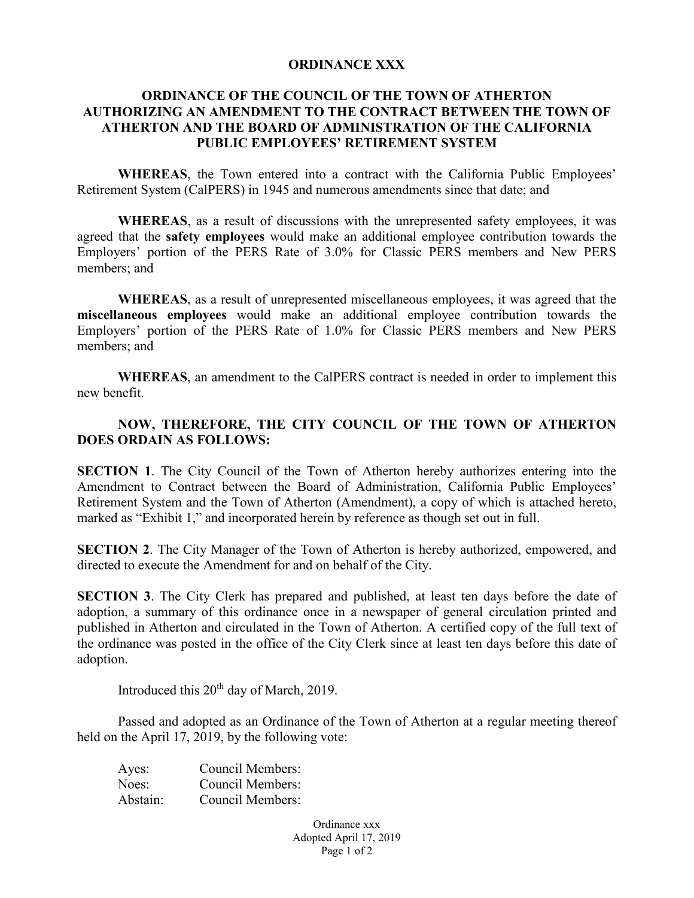#### **ORDINANCE XXX**

#### **ORDINANCE OF THE COUNCIL OF THE TOWN OF ATHERTON AUTHORIZING AN AMENDMENT TO THE CONTRACT BETWEEN THE TOWN OF ATHERTON AND THE BOARD OF ADMINISTRATION OF THE CALIFORNIA PUBLIC EMPLOYEES' RETIREMENT SYSTEM**

**WHEREAS**, the Town entered into a contract with the California Public Employees' Retirement System (CalPERS) in 1945 and numerous amendments since that date; and

**WHEREAS**, as a result of discussions with the unrepresented safety employees, it was agreed that the **safety employees** would make an additional employee contribution towards the Employers' portion of the PERS Rate of 3.0% for Classic PERS members and New PERS members; and

**WHEREAS**, as a result of unrepresented miscellaneous employees, it was agreed that the **miscellaneous employees** would make an additional employee contribution towards the Employers' portion of the PERS Rate of 1.0% for Classic PERS members and New PERS members; and

**WHEREAS**, an amendment to the CalPERS contract is needed in order to implement this new benefit.

#### **NOW, THEREFORE, THE CITY COUNCIL OF THE TOWN OF ATHERTON DOES ORDAIN AS FOLLOWS:**

**SECTION 1.** The City Council of the Town of Atherton hereby authorizes entering into the Amendment to Contract between the Board of Administration, California Public Employees' Retirement System and the Town of Atherton (Amendment), a copy of which is attached hereto, marked as "Exhibit 1," and incorporated herein by reference as though set out in full.

**SECTION 2**. The City Manager of the Town of Atherton is hereby authorized, empowered, and directed to execute the Amendment for and on behalf of the City.

**SECTION 3**. The City Clerk has prepared and published, at least ten days before the date of adoption, a summary of this ordinance once in a newspaper of general circulation printed and published in Atherton and circulated in the Town of Atherton. A certified copy of the full text of the ordinance was posted in the office of the City Clerk since at least ten days before this date of adoption.

Introduced this  $20<sup>th</sup>$  day of March, 2019.

Passed and adopted as an Ordinance of the Town of Atherton at a regular meeting thereof held on the April 17, 2019, by the following vote:

| Ayes:    | Council Members:        |
|----------|-------------------------|
| Noes:    | <b>Council Members:</b> |
| Abstain: | Council Members:        |

Ordinance xxx Adopted April 17, 2019 Page 1 of 2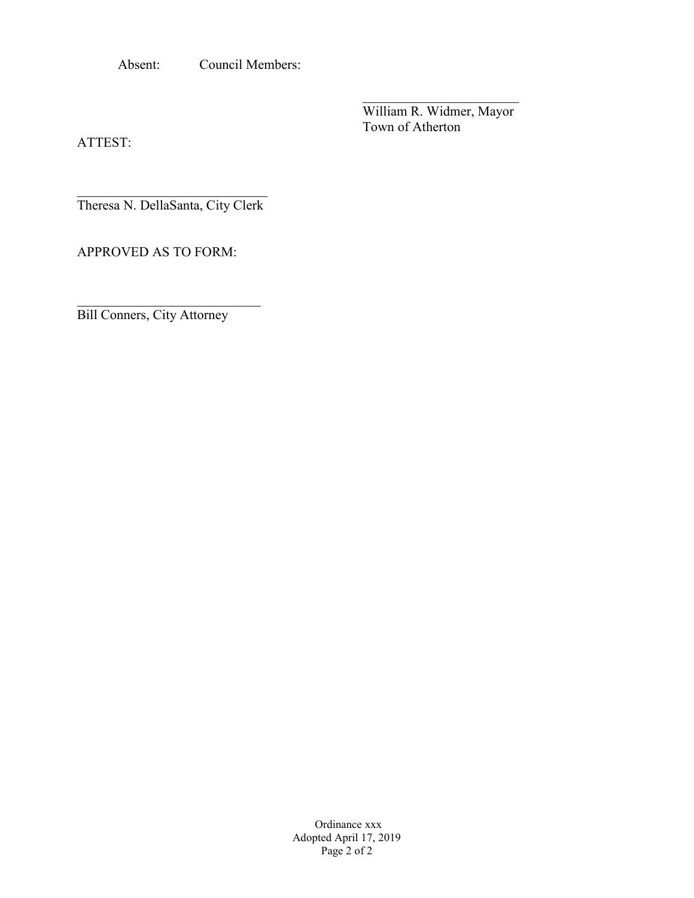Absent: Council Members:

 $\overline{\phantom{a}}$ William R. Widmer, Mayor Town of Atherton

ATTEST:

 $\mathcal{L}_\text{max}$  , where  $\mathcal{L}_\text{max}$  and  $\mathcal{L}_\text{max}$ Theresa N. DellaSanta, City Clerk

APPROVED AS TO FORM:

Bill Conners, City Attorney

\_\_\_\_\_\_\_\_\_\_\_\_\_\_\_\_\_\_\_\_\_\_\_\_\_\_\_

Ordinance xxx Adopted April 17, 2019 Page 2 of 2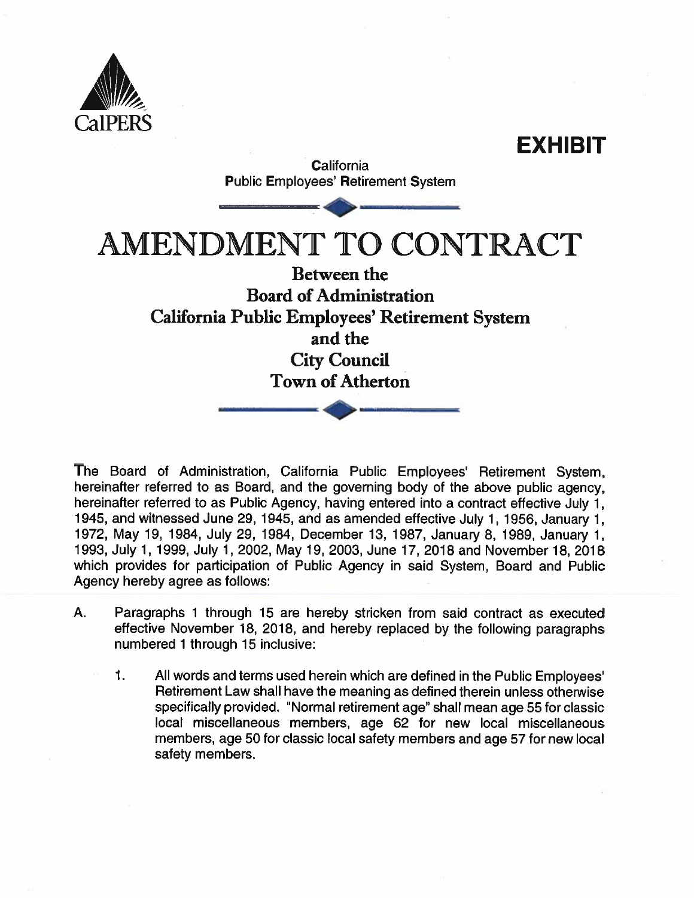



The Board of Administration, California Public Employees' Retirement System, hereinafter referred to as Board, and the governing body of the above public agency, hereinafter referred to as Public Agency, having entered into a contract effective July 1, 1945, and witnessed June 29, 1945, and as amended effective July 1, 1956, January 1, 1972, May 19, 1984, July 29, 1984, December 13, 1987, January 8, 1989, January 1, 1993, July 1, 1999, July 1, 2002, May 19, 2003, June 17, 2018 and November 18, 2018 which provides for participation of Public Agency in said System, Board and Public Agency hereby agree as follows:

- A. Paragraphs 1 through 15 are hereby stricken from said contract as executed effective November 18, 2018, and hereby replaced by the following paragraphs numbered 1 through 15 inclusive:
	- $\mathbf{1}$ . All words and terms used herein which are defined in the Public Employees' Retirement Law shall have the meaning as defined therein unless otherwise specifically provided. "Normal retirement age" shall mean age 55 for classic local miscellaneous members, age 62 for new local miscellaneous members, age 50 for classic local safety members and age 57 for new local safety members.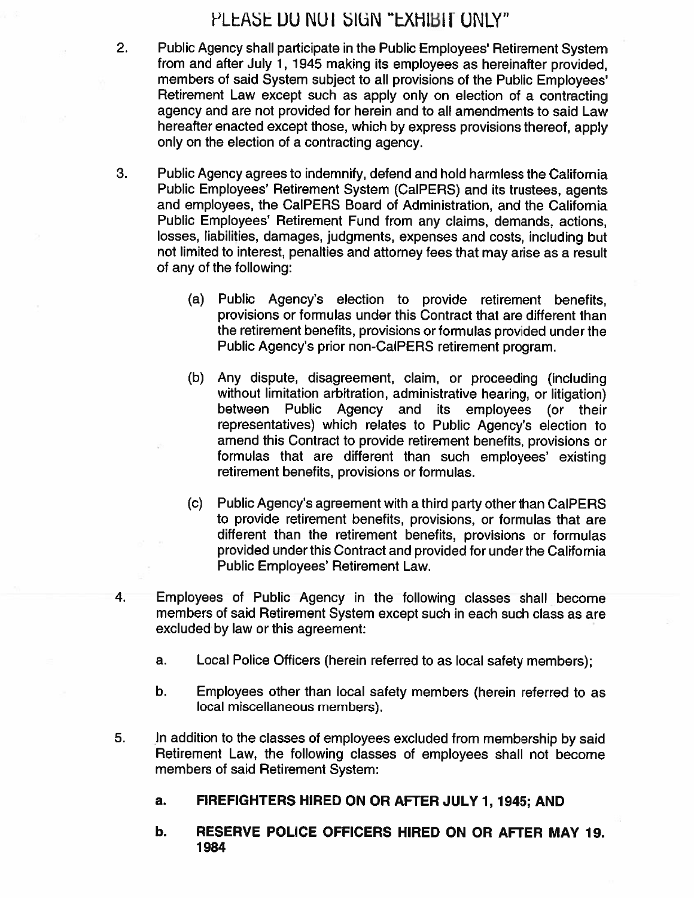## PLEASE DO NOT SIGN "EXHIBIT ONLY"

- Public Agency shall participate in the Public Employees' Retirement System from and after July 1, 1945 making its employees as hereinafter provided. members of said System subject to all provisions of the Public Employees' Retirement Law except such as apply only on election of a contracting agency and are not provided for herein and to all amendments to said Law hereafter enacted except those, which by express provisions thereof, apply only on the election of a contracting agency.
- 3. Public Agency agrees to indemnify, defend and hold harmless the California Public Employees' Retirement System (CalPERS) and its trustees, agents and employees, the CalPERS Board of Administration, and the California Public Employees' Retirement Fund from any claims, demands, actions, losses, liabilities, damages, judgments, expenses and costs, including but not limited to interest, penalties and attorney fees that may arise as a result of any of the following:
	- (a) Public Agency's election to provide retirement benefits, provisions or formulas under this Contract that are different than the retirement benefits, provisions or formulas provided under the Public Agency's prior non-CalPERS retirement program.
	- (b) Any dispute, disagreement, claim, or proceeding (including without limitation arbitration, administrative hearing, or litigation) between Public Agency and its employees (or their representatives) which relates to Public Agency's election to amend this Contract to provide retirement benefits, provisions or formulas that are different than such employees' existing retirement benefits, provisions or formulas.
	- (c) Public Agency's agreement with a third party other than CalPERS to provide retirement benefits, provisions, or formulas that are different than the retirement benefits, provisions or formulas provided under this Contract and provided for under the California Public Employees' Retirement Law.
- 4. Employees of Public Agency in the following classes shall become members of said Retirement System except such in each such class as are excluded by law or this agreement:
	- Local Police Officers (herein referred to as local safety members); a.
	- Employees other than local safety members (herein referred to as b. local miscellaneous members).
- 5. In addition to the classes of employees excluded from membership by said Retirement Law, the following classes of employees shall not become members of said Retirement System:
	- FIREFIGHTERS HIRED ON OR AFTER JULY 1, 1945; AND a.
	- b. RESERVE POLICE OFFICERS HIRED ON OR AFTER MAY 19. 1984

 $2.$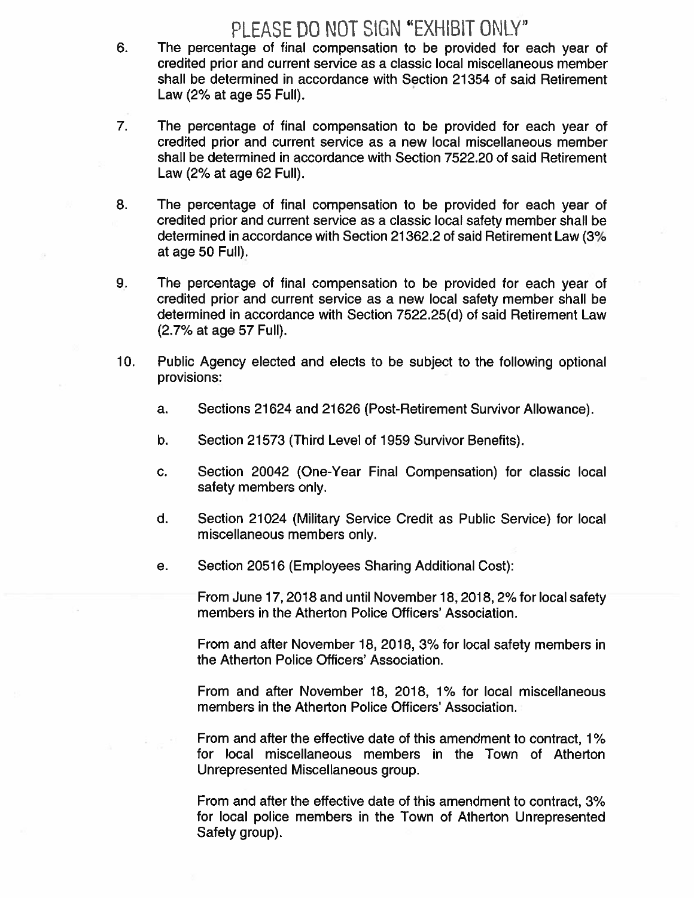# PLEASE DO NOT SIGN "EXHIBIT ONLY"

- The percentage of final compensation to be provided for each year of 6. credited prior and current service as a classic local miscellaneous member shall be determined in accordance with Section 21354 of said Retirement Law (2% at age 55 Full).
- $\overline{7}$ . The percentage of final compensation to be provided for each year of credited prior and current service as a new local miscellaneous member shall be determined in accordance with Section 7522.20 of said Retirement Law (2% at age 62 Full).
- 8. The percentage of final compensation to be provided for each year of credited prior and current service as a classic local safety member shall be determined in accordance with Section 21362.2 of said Retirement Law (3% at age 50 Full).
- 9. The percentage of final compensation to be provided for each year of credited prior and current service as a new local safety member shall be determined in accordance with Section 7522.25(d) of said Retirement Law (2.7% at age 57 Full).
- $10.$ Public Agency elected and elects to be subject to the following optional provisions:
	- Sections 21624 and 21626 (Post-Retirement Survivor Allowance). a.
	- $b.$ Section 21573 (Third Level of 1959 Survivor Benefits).
	- Section 20042 (One-Year Final Compensation) for classic local C. safety members only.
	- d. Section 21024 (Military Service Credit as Public Service) for local miscellaneous members only.
	- Section 20516 (Employees Sharing Additional Cost): е.

From June 17, 2018 and until November 18, 2018, 2% for local safety members in the Atherton Police Officers' Association.

From and after November 18, 2018, 3% for local safety members in the Atherton Police Officers' Association.

From and after November 18, 2018, 1% for local miscellaneous members in the Atherton Police Officers' Association.

From and after the effective date of this amendment to contract, 1% for local miscellaneous members in the Town of Atherton Unrepresented Miscellaneous group.

From and after the effective date of this amendment to contract, 3% for local police members in the Town of Atherton Unrepresented Safety group).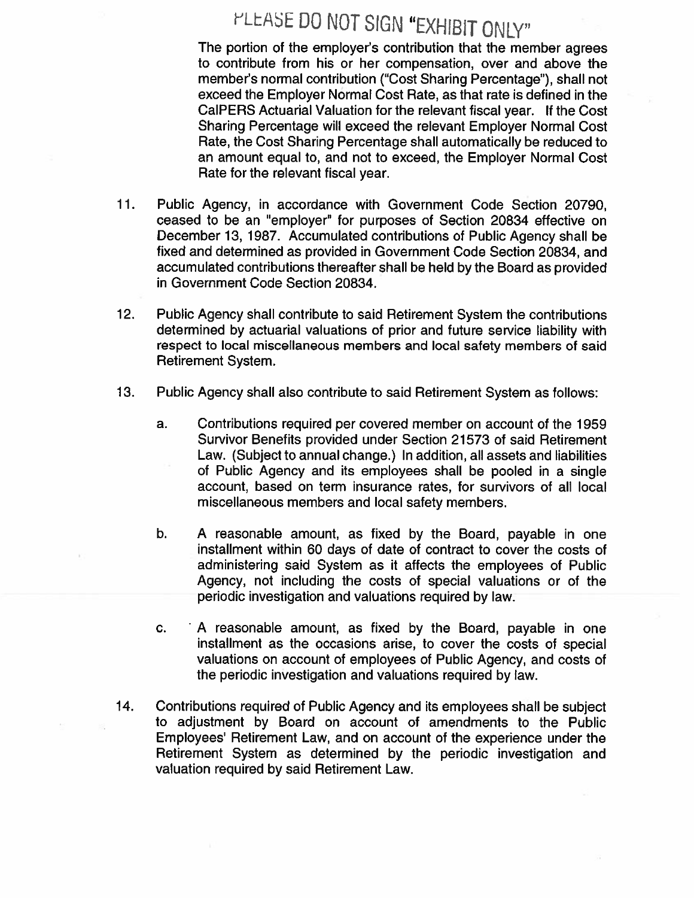# PLEASE DO NOT SIGN "EXHIBIT ONLY"

The portion of the employer's contribution that the member agrees to contribute from his or her compensation, over and above the member's normal contribution ("Cost Sharing Percentage"), shall not exceed the Employer Normal Cost Rate, as that rate is defined in the CalPERS Actuarial Valuation for the relevant fiscal year. If the Cost Sharing Percentage will exceed the relevant Employer Normal Cost Rate, the Cost Sharing Percentage shall automatically be reduced to an amount equal to, and not to exceed, the Employer Normal Cost Rate for the relevant fiscal year.

- $11.$ Public Agency, in accordance with Government Code Section 20790, ceased to be an "employer" for purposes of Section 20834 effective on December 13, 1987. Accumulated contributions of Public Agency shall be fixed and determined as provided in Government Code Section 20834, and accumulated contributions thereafter shall be held by the Board as provided in Government Code Section 20834.
- $12.$ Public Agency shall contribute to said Retirement System the contributions determined by actuarial valuations of prior and future service liability with respect to local miscellaneous members and local safety members of said Retirement System.
- $13.$ Public Agency shall also contribute to said Retirement System as follows:
	- Contributions required per covered member on account of the 1959 a. Survivor Benefits provided under Section 21573 of said Retirement Law. (Subject to annual change.) In addition, all assets and liabilities of Public Agency and its employees shall be pooled in a single account, based on term insurance rates, for survivors of all local miscellaneous members and local safety members.
	- b. A reasonable amount, as fixed by the Board, payable in one installment within 60 days of date of contract to cover the costs of administering said System as it affects the employees of Public Agency, not including the costs of special valuations or of the periodic investigation and valuations required by law.
	- A reasonable amount, as fixed by the Board, payable in one C. installment as the occasions arise, to cover the costs of special valuations on account of employees of Public Agency, and costs of the periodic investigation and valuations required by law.
- 14. Contributions required of Public Agency and its employees shall be subject to adjustment by Board on account of amendments to the Public Employees' Retirement Law, and on account of the experience under the Retirement System as determined by the periodic investigation and valuation required by said Retirement Law.